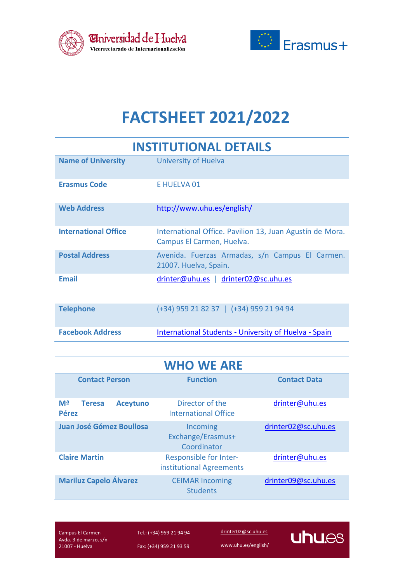



# **FACTSHEET 2021/2022**

| <b>INSTITUTIONAL DETAILS</b> |                                                                                       |
|------------------------------|---------------------------------------------------------------------------------------|
| <b>Name of University</b>    | University of Huelva                                                                  |
| <b>Erasmus Code</b>          | E HUELVA 01                                                                           |
| <b>Web Address</b>           | http://www.uhu.es/english/                                                            |
| <b>International Office</b>  | International Office. Pavilion 13, Juan Agustín de Mora.<br>Campus El Carmen, Huelva. |
| <b>Postal Address</b>        | Avenida. Fuerzas Armadas, s/n Campus El Carmen.<br>21007. Huelva, Spain.              |
| <b>Fmail</b>                 | drinter@uhu.es   drinter02@sc.uhu.es                                                  |
| <b>Telephone</b>             | (+34) 959 21 82 37   (+34) 959 21 94 94                                               |
| <b>Facebook Address</b>      | International Students - University of Huelva - Spain                                 |

| <b>WHO WE ARE</b>                                      |                                                    |                     |
|--------------------------------------------------------|----------------------------------------------------|---------------------|
| <b>Contact Person</b>                                  | <b>Function</b>                                    | <b>Contact Data</b> |
| Mª<br><b>Aceytuno</b><br><b>Teresa</b><br><b>Pérez</b> | Director of the<br>International Office            | drinter@uhu.es      |
| Juan José Gómez Boullosa                               | Incoming<br>Exchange/Erasmus+<br>Coordinator       | drinter02@sc.uhu.es |
| <b>Claire Martin</b>                                   | Responsible for Inter-<br>institutional Agreements | drinter@uhu.es      |
| <b>Mariluz Capelo Álvarez</b>                          | <b>CEIMAR Incoming</b><br><b>Students</b>          | drinter09@sc.uhu.es |

Campus El Carmen Avda. 3 de marzo, s/n 21007 - Huelva

Tel.: (+34) 959 21 94 94 Fax: (+34) 959 21 93 59

[drinter02@sc.uhu.es](mailto:drinter02@sc.uhu.es)

www.uhu.es/english/

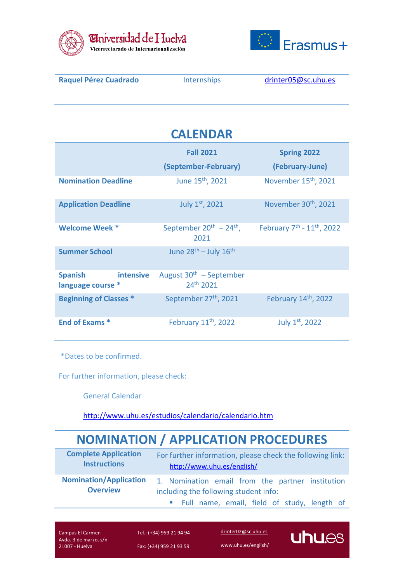



| <b>Raquel Pérez Cuadrado</b>                            | Internships                                        | drinter05@sc.uhu.es                                |
|---------------------------------------------------------|----------------------------------------------------|----------------------------------------------------|
|                                                         |                                                    |                                                    |
|                                                         |                                                    |                                                    |
|                                                         | <b>CALENDAR</b>                                    |                                                    |
|                                                         | <b>Fall 2021</b>                                   | <b>Spring 2022</b>                                 |
|                                                         | (September-February)                               | (February-June)                                    |
| <b>Nomination Deadline</b>                              | June 15 <sup>th</sup> , 2021                       | November 15 <sup>th</sup> , 2021                   |
| <b>Application Deadline</b>                             | July 1st, 2021                                     | November 30 <sup>th</sup> , 2021                   |
| <b>Welcome Week *</b>                                   | September $20^{th}$ – $24^{th}$ ,<br>2021          | February 7 <sup>th</sup> - 11 <sup>th</sup> , 2022 |
| <b>Summer School</b>                                    | June 28 <sup>th</sup> - July 16 <sup>th</sup>      |                                                    |
| <b>Spanish</b><br><b>intensive</b><br>language course * | August $30th$ – September<br>24 <sup>th</sup> 2021 |                                                    |
| <b>Beginning of Classes *</b>                           | September 27 <sup>th</sup> , 2021                  | February 14th, 2022                                |
| <b>End of Exams *</b>                                   | February 11 <sup>th</sup> , 2022                   | July 1st, 2022                                     |

\*Dates to be confirmed.

For further information, please check:

General Calendar

<http://www.uhu.es/estudios/calendario/calendario.htm>

## **NOMINATION / APPLICATION PROCEDURES**

| <b>Complete Application</b>   | For further information, please check the following link: |
|-------------------------------|-----------------------------------------------------------|
| <b>Instructions</b>           | http://www.uhu.es/english/                                |
| <b>Nomination/Application</b> | 1. Nomination email from the partner institution          |
| <b>Overview</b>               | including the following student info:                     |
|                               | " Full name, email, field of study, length of             |

Campus El Carmen Avda. 3 de marzo, s/n 21007 - Huelva

Tel.: (+34) 959 21 94 94 Fax: (+34) 959 21 93 59

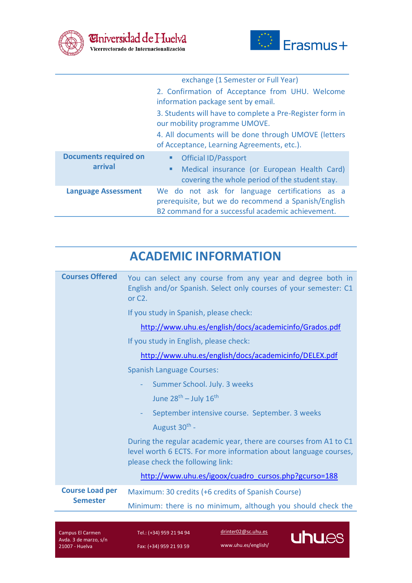



|                                         | exchange (1 Semester or Full Year)                                                                                                                         |
|-----------------------------------------|------------------------------------------------------------------------------------------------------------------------------------------------------------|
|                                         | 2. Confirmation of Acceptance from UHU. Welcome                                                                                                            |
|                                         | information package sent by email.                                                                                                                         |
|                                         | 3. Students will have to complete a Pre-Register form in<br>our mobility programme UMOVE.                                                                  |
|                                         | 4. All documents will be done through UMOVE (letters<br>of Acceptance, Learning Agreements, etc.).                                                         |
| <b>Documents required on</b><br>arrival | <b>Official ID/Passport</b><br>п                                                                                                                           |
|                                         | Medical insurance (or European Health Card)<br>п<br>covering the whole period of the student stay.                                                         |
| <b>Language Assessment</b>              | We do not ask for language certifications as a<br>prerequisite, but we do recommend a Spanish/English<br>B2 command for a successful academic achievement. |

### **ACADEMIC INFORMATION**

| Compus El Cormon                          | drinter02@sc.uhu.es<br>$T_0$ $(1.24)$ $050$ $21$ $04$ $04$<br>ш                                                                                       |
|-------------------------------------------|-------------------------------------------------------------------------------------------------------------------------------------------------------|
|                                           | Minimum: there is no minimum, although you should check the                                                                                           |
| <b>Course Load per</b><br><b>Semester</b> | Maximum: 30 credits (+6 credits of Spanish Course)                                                                                                    |
|                                           | http://www.uhu.es/igoox/cuadro cursos.php?gcurso=188                                                                                                  |
|                                           | level worth 6 ECTS. For more information about language courses,<br>please check the following link:                                                  |
|                                           | During the regular academic year, there are courses from A1 to C1                                                                                     |
|                                           | August 30 <sup>th</sup> -                                                                                                                             |
|                                           | September intensive course. September. 3 weeks<br>÷                                                                                                   |
|                                           | June $28^{th}$ – July $16^{th}$                                                                                                                       |
|                                           | Summer School. July. 3 weeks<br>$\equiv$                                                                                                              |
|                                           | <b>Spanish Language Courses:</b>                                                                                                                      |
|                                           | http://www.uhu.es/english/docs/academicinfo/DELEX.pdf                                                                                                 |
|                                           | If you study in English, please check:                                                                                                                |
|                                           | http://www.uhu.es/english/docs/academicinfo/Grados.pdf                                                                                                |
|                                           | If you study in Spanish, please check:                                                                                                                |
| <b>Courses Offered</b>                    | You can select any course from any year and degree both in<br>English and/or Spanish. Select only courses of your semester: C1<br>or C <sub>2</sub> . |
|                                           |                                                                                                                                                       |

Campus El Carmen Avda. 3 de marzo, s/n 21007 - Huelva

Tel.: (+34) 959 21 94 94 Fax: (+34) 959 21 93 59

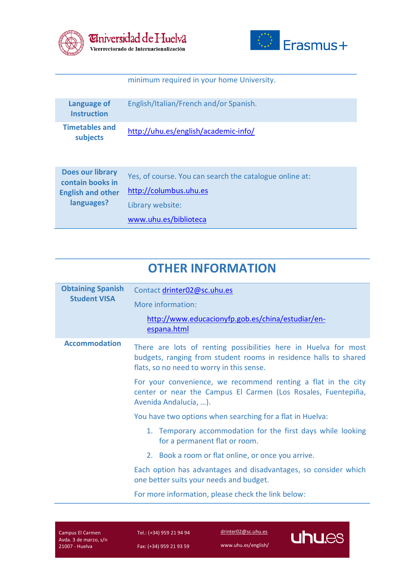



#### minimum required in your home University.

| Language of<br><b>Instruction</b>                                                     | English/Italian/French and/or Spanish.                                                                                         |
|---------------------------------------------------------------------------------------|--------------------------------------------------------------------------------------------------------------------------------|
| <b>Timetables and</b><br>subjects                                                     | http://uhu.es/english/academic-info/                                                                                           |
| <b>Does our library</b><br>contain books in<br><b>English and other</b><br>languages? | Yes, of course. You can search the catalogue online at:<br>http://columbus.uhu.es<br>Library website:<br>www.uhu.es/biblioteca |

#### **OTHER INFORMATION**

| <b>Obtaining Spanish</b><br><b>Student VISA</b> | Contact drinter02@sc.uhu.es<br>More information:<br>http://www.educacionyfp.gob.es/china/estudiar/en-<br>espana.html                                                             |
|-------------------------------------------------|----------------------------------------------------------------------------------------------------------------------------------------------------------------------------------|
| <b>Accommodation</b>                            | There are lots of renting possibilities here in Huelva for most<br>budgets, ranging from student rooms in residence halls to shared<br>flats, so no need to worry in this sense. |
|                                                 | For your convenience, we recommend renting a flat in the city<br>center or near the Campus El Carmen (Los Rosales, Fuentepiña,<br>Avenida Andalucía, ).                          |
|                                                 | You have two options when searching for a flat in Huelva:                                                                                                                        |
|                                                 | 1. Temporary accommodation for the first days while looking<br>for a permanent flat or room.                                                                                     |
|                                                 | 2. Book a room or flat online, or once you arrive.                                                                                                                               |
|                                                 | Each option has advantages and disadvantages, so consider which<br>one better suits your needs and budget.                                                                       |
|                                                 | For more information, please check the link below:                                                                                                                               |

Campus El Carmen Avda. 3 de marzo, s/n 21007 - Huelva

Tel.: (+34) 959 21 94 94 Fax: (+34) 959 21 93 59

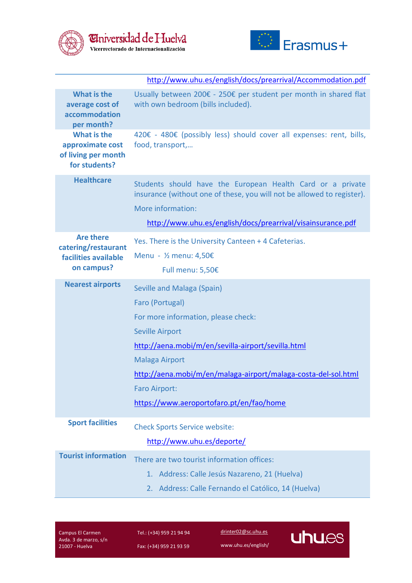



|                                                                               | http://www.uhu.es/english/docs/prearrival/Accommodation.pdf                                                                                                                                                                                                                                                                         |
|-------------------------------------------------------------------------------|-------------------------------------------------------------------------------------------------------------------------------------------------------------------------------------------------------------------------------------------------------------------------------------------------------------------------------------|
| What is the<br>average cost of<br>accommodation<br>per month?                 | Usually between 200€ - 250€ per student per month in shared flat<br>with own bedroom (bills included).                                                                                                                                                                                                                              |
| What is the<br>approximate cost<br>of living per month<br>for students?       | 420€ - 480€ (possibly less) should cover all expenses: rent, bills,<br>food, transport,                                                                                                                                                                                                                                             |
| <b>Healthcare</b>                                                             | Students should have the European Health Card or a private<br>insurance (without one of these, you will not be allowed to register).<br>More information:                                                                                                                                                                           |
|                                                                               | http://www.uhu.es/english/docs/prearrival/visainsurance.pdf                                                                                                                                                                                                                                                                         |
| <b>Are there</b><br>catering/restaurant<br>facilities available<br>on campus? | Yes. There is the University Canteen + 4 Cafeterias.<br>Menu - ½ menu: 4,50€<br>Full menu: 5,50€                                                                                                                                                                                                                                    |
| <b>Nearest airports</b>                                                       | Seville and Malaga (Spain)<br>Faro (Portugal)<br>For more information, please check:<br><b>Seville Airport</b><br>http://aena.mobi/m/en/sevilla-airport/sevilla.html<br><b>Malaga Airport</b><br>http://aena.mobi/m/en/malaga-airport/malaga-costa-del-sol.html<br><b>Faro Airport:</b><br>https://www.aeroportofaro.pt/en/fao/home |
| <b>Sport facilities</b>                                                       | <b>Check Sports Service website:</b><br>http://www.uhu.es/deporte/                                                                                                                                                                                                                                                                  |
| <b>Tourist information</b>                                                    | There are two tourist information offices:<br>Address: Calle Jesús Nazareno, 21 (Huelva)<br>1.<br>2. Address: Calle Fernando el Católico, 14 (Huelva)                                                                                                                                                                               |

Campus El Carmen Avda. 3 de marzo, s/n 21007 - Huelva

Tel.: (+34) 959 21 94 94 Fax: (+34) 959 21 93 59